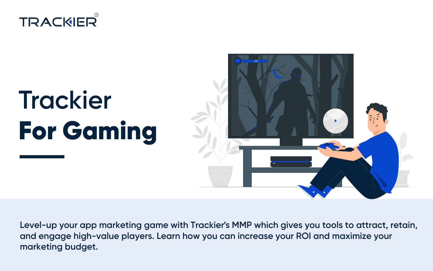



**Level-up your app marketing game with Trackier's MMP which gives you tools to attract, retain, and engage high-value players. Learn how you can increase your ROI and maximize your marketing budget.**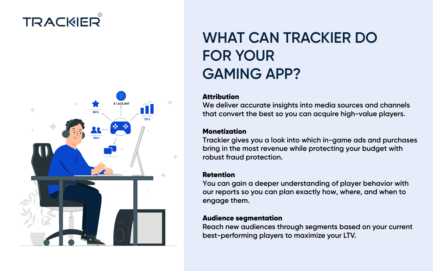

# **WHAT CAN TRACKIER DO FOR YOUR GAMING APP?**

### **Attribution**

**We deliver accurate insights into media sources and channels that convert the best so you can acquire high-value players.**

### Monetization

**Trackier gives you a look into which in-game ads and purchases bring in the most revenue while protecting your budget with robust fraud protection.**

### Retention

**You can gain a deeper understanding of player behavior with our reports so you can plan exactly how, where, and when to engage them.**

#### Audience segmentation

**Reach new audiences through segments based on your current best-performing players to maximize your LTV.**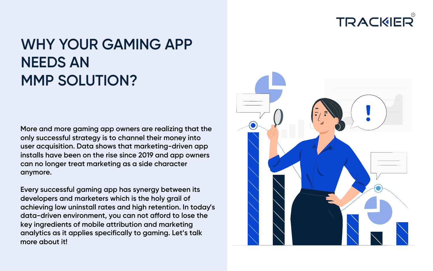

# **WHY YOUR GAMING APP NEEDS AN MMP SOLUTION?**

**More and more gaming app owners are realizing that the only successful strategy is to channel their money into user acquisition. Data shows that marketing-driven app installs have been on the rise since 2019 and app owners can no longer treat marketing as a side character anymore.**

**more about it! Every successful gaming app has synergy between its developers and marketers which is the holy grail of achieving low uninstall rates and high retention. In today's data-driven environment, you can not afford to lose the key ingredients of mobile attribution and marketing analytics as it applies specifically to gaming. Let's talk**

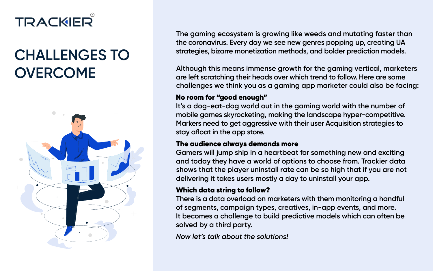# **CHALLENGES TO OVERCOME**



**the coronavirus. Every day we see new genres popping up, creating UA strategies, bizarre monetization methods, and bolder prediction models. The gaming ecosystem is growing like weeds and mutating faster than**

**are left scratching their heads over which trend to follow. Here are some Although this means immense growth for the gaming vertical, marketers challenges we think you as a gaming app marketer could also be facing:**

### No room for "good enough"

**It's a dog-eat-dog world out in the gaming world with the number of mobile games skyrocketing, making the landscape hyper-competitive. Markers need to get aggressive with their user Acquisition strategies to stay afloat in the app store.**

### The audience always demands more

**Gamers will jump ship in a heartbeat for something new and exciting and today they have a world of options to choose from. Trackier data delivering it takes users mostly a day to uninstall your app. shows that the player uninstall rate can be so high that if you are not**

### Which data string to follow?

**There is a data overload on marketers with them monitoring a handful of segments, campaign types, creatives, in-app events, and more. It becomes a challenge to build predictive models which can often be solved by a third party.**

*Now let's talk about the solutions!*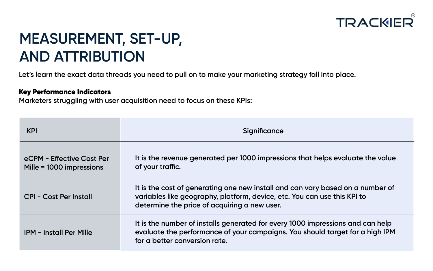

# **MEASUREMENT, SET-UP, AND ATTRIBUTION**

**Let's learn the exact data threads you need to pull on to make your marketing strategy fall into place.**

#### Key Performance Indicators

**Marketers struggling with user acquisition need to focus on these KPIs:**

| <b>KPI</b>                                            | Significance                                                                                                                                                                                               |  |  |  |  |  |  |  |  |
|-------------------------------------------------------|------------------------------------------------------------------------------------------------------------------------------------------------------------------------------------------------------------|--|--|--|--|--|--|--|--|
| eCPM - Effective Cost Per<br>Mille = 1000 impressions | It is the revenue generated per 1000 impressions that helps evaluate the value<br>of your traffic.                                                                                                         |  |  |  |  |  |  |  |  |
| CPI - Cost Per Install                                | It is the cost of generating one new install and can vary based on a number of<br>variables like geography, platform, device, etc. You can use this KPI to<br>determine the price of acquiring a new user. |  |  |  |  |  |  |  |  |
| <b>IPM - Install Per Mille</b>                        | It is the number of installs generated for every 1000 impressions and can help<br>evaluate the performance of your campaigns. You should target for a high IPM<br>for a better conversion rate.            |  |  |  |  |  |  |  |  |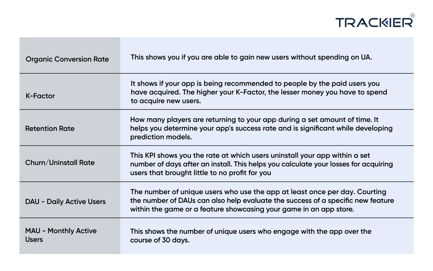

| <b>Organic Conversion Rate</b>              | This shows you if you are able to gain new users without spending on UA.                                                                                                                                                            |
|---------------------------------------------|-------------------------------------------------------------------------------------------------------------------------------------------------------------------------------------------------------------------------------------|
| K-Factor                                    | It shows if your app is being recommended to people by the paid users you<br>have acquired. The higher your K-Factor, the lesser money you have to spend<br>to acquire new users.                                                   |
| <b>Retention Rate</b>                       | How many players are returning to your app during a set amount of time. It<br>helps you determine your app's success rate and is significant while developing<br>prediction models.                                                 |
| <b>Churn/Uninstall Rate</b>                 | This KPI shows you the rate at which users uninstall your app within a set<br>number of days after an install. This helps you calculate your losses for acquiring<br>users that brought little to no profit for you                 |
| <b>DAU - Daily Active Users</b>             | The number of unique users who use the app at least once per day. Courting<br>the number of DAUs can also help evaluate the success of a specific new feature<br>within the game or a feature showcasing your game in an app store. |
| <b>MAU - Monthly Active</b><br><b>Users</b> | This shows the number of unique users who engage with the app over the<br>course of 30 days.                                                                                                                                        |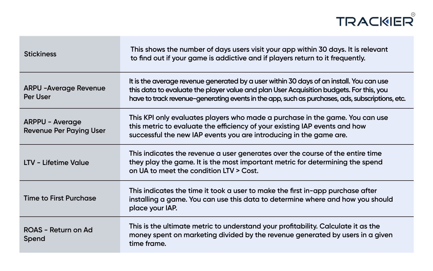| <b>Stickiness</b>                                        | This shows the number of days users visit your app within 30 days. It is relevant<br>to find out if your game is addictive and if players return to it frequently.                                                                                                                    |
|----------------------------------------------------------|---------------------------------------------------------------------------------------------------------------------------------------------------------------------------------------------------------------------------------------------------------------------------------------|
| <b>ARPU - Average Revenue</b><br><b>Per User</b>         | It is the average revenue generated by a user within 30 days of an install. You can use<br>this data to evaluate the player value and plan User Acquisition budgets. For this, you<br>have to track revenue-generating events in the app, such as purchases, ads, subscriptions, etc. |
| <b>ARPPU - Average</b><br><b>Revenue Per Paying User</b> | This KPI only evaluates players who made a purchase in the game. You can use<br>this metric to evaluate the efficiency of your existing IAP events and how<br>successful the new IAP events you are introducing in the game are.                                                      |
| <b>LTV - Lifetime Value</b>                              | This indicates the revenue a user generates over the course of the entire time<br>they play the game. It is the most important metric for determining the spend<br>on UA to meet the condition LTV > Cost.                                                                            |
| <b>Time to First Purchase</b>                            | This indicates the time it took a user to make the first in-app purchase after<br>installing a game. You can use this data to determine where and how you should<br>place your IAP.                                                                                                   |
| ROAS - Return on Ad<br>Spend                             | This is the ultimate metric to understand your profitability. Calculate it as the<br>money spent on marketing divided by the revenue generated by users in a given<br>time frame.                                                                                                     |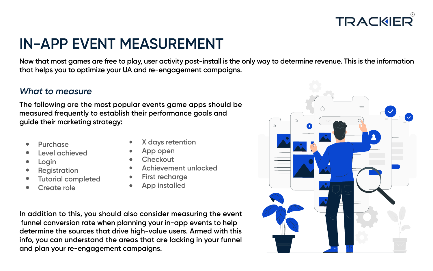

## **IN-APP EVENT MEASUREMENT**

**Now that most games are free to play, user activity post-install is the only way to determine revenue. This is the information that helps you to optimize your UA and re-engagement campaigns.**

### *What to measure*

**The following are the most popular events game apps should be guide their marketing strategy: measured frequently to establish their performance goals and**

- **Purchase**
- **Level achieved**
- **Login**
- **Registration**
- **Tutorial completed**
- **Create role**
- **X days retention**
- **App open**
- **Checkout**
- **Achievement unlocked**
- **First recharge**
- **App installed**

**In addition to this, you should also consider measuring the event determine the sources that drive high-value users. Armed with this info, you can understand the areas that are lacking in your funnel and plan your re-engagement campaigns. funnel conversion rate when planning your in-app events to help**

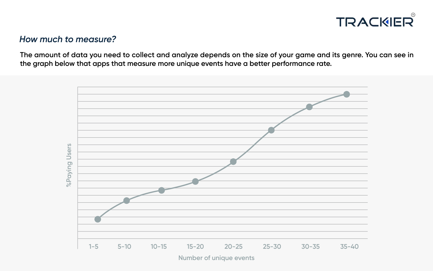

### *How much to measure?*

**The amount of data you need to collect and analyze depends on the size of your game and its genre. You can see in the graph below that apps that measure more unique events have a better performance rate.**

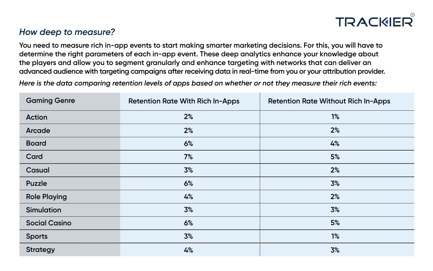

### *How deep to measure?*

**You need to measure rich in-app events to start making smarter marketing decisions. For this, you will have to determine the right parameters of each in-app event. These deep analytics enhance your knowledge about the players and allow you to segment granularly and enhance targeting with networks that can deliver an advanced audience with targeting campaigns after receiving data in real-time from you or your attribution provider.**

*Here is the data comparing retention levels of apps based on whether or not they measure their rich events:*

| <b>Gaming Genre</b>  | <b>Retention Rate With Rich In-Apps</b> | <b>Retention Rate Without Rich In-Apps</b> |
|----------------------|-----------------------------------------|--------------------------------------------|
| Action               | 2%                                      | 1%                                         |
| Arcade               | 2%                                      | 2%                                         |
| <b>Board</b>         | 6%                                      | 4%                                         |
| Card                 | 7%                                      | 5%                                         |
| Casual               | 3%                                      | 2%                                         |
| Puzzle               | 6%                                      | 3%                                         |
| <b>Role Playing</b>  | 4%                                      | 2%                                         |
| Simulation           | 3%                                      | 3%                                         |
| <b>Social Casino</b> | 6%                                      | 5%                                         |
| <b>Sports</b>        | 3%                                      | 1%                                         |
| <b>Strategy</b>      | 4%                                      | 3%                                         |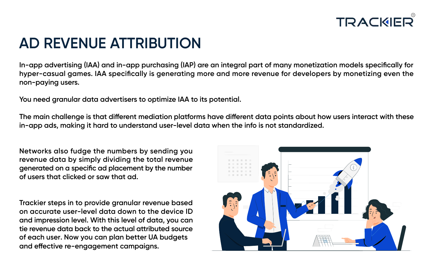

## **AD REVENUE ATTRIBUTION**

**In-app advertising (IAA) and in-app purchasing (IAP) are an integral part of many monetization models specifically for hyper-casual games. IAA specifically is generating more and more revenue for developers by monetizing even the non-paying users.**

**You need granular data advertisers to optimize IAA to its potential.** 

**The main challenge is that different mediation platforms have different data points about how users interact with these in-app ads, making it hard to understand user-level data when the info is not standardized.**

**Networks also fudge the numbers by sending you revenue data by simply dividing the total revenue generated on a specific ad placement by the number of users that clicked or saw that ad.**

**Trackier steps in to provide granular revenue based on accurate user-level data down to the device ID and impression level. With this level of data, you can tie revenue data back to the actual attributed source and effective re-engagement campaigns. of each user. Now you can plan better UA budgets**

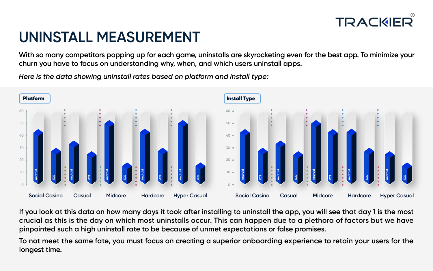# TRACKE

# **UNINSTALL MEASUREMENT**

**With so many competitors popping up for each game, uninstalls are skyrocketing even for the best app. To minimize your churn you have to focus on understanding why, when, and which users uninstall apps.**

*Here is the data showing uninstall rates based on platform and install type:*



**If you look at this data on how many days it took after installing to uninstall the app, you will see that day 1 is the most crucial as this is the day on which most uninstalls occur. This can happen due to a plethora of factors but we have pinpointed such a high uninstall rate to be because of unmet expectations or false promises.**

**To not meet the same fate, you must focus on creating a superior onboarding experience to retain your users for the longest time.**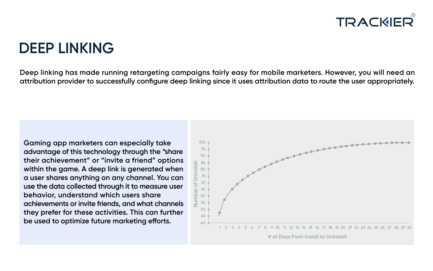### **DEEP LINKING**

**Deep linking has made running retargeting campaigns fairly easy for mobile marketers. However, you will need an attribution provider to successfully configure deep linking since it uses attribution data to route the user appropriately.**

**Gaming app marketers can especially take advantage of this technology through the "share their achievement" or "invite a friend" options within the game. A deep link is generated when a user shares anything on any channel. You can use the data collected through it to measure user behavior, understand which users share achievements or invite friends, and what channels they prefer for these activities. This can further be used to optimize future marketing efforts.**

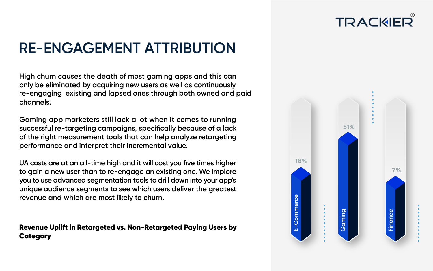

# **RE-ENGAGEMENT ATTRIBUTION**

**High churn causes the death of most gaming apps and this can only be eliminated by acquiring new users as well as continuously channels. re-engaging existing and lapsed ones through both owned and paid**

**Gaming app marketers still lack a lot when it comes to running successful re-targeting campaigns, specifically because of a lack of the right measurement tools that can help analyze retargeting performance and interpret their incremental value.**

**UA costs are at an all-time high and it will cost you five times higher to gain a new user than to re-engage an existing one. We implore you to use advanced segmentation tools to drill down into your app's unique audience segments to see which users deliver the greatest revenue and which are most likely to churn.**

Revenue Uplift in Retargeted vs. Non-Retargeted Paying Users by Category

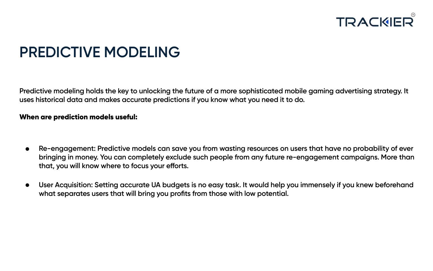

# **PREDICTIVE MODELING**

**Predictive modeling holds the key to unlocking the future of a more sophisticated mobile gaming advertising strategy. It uses historical data and makes accurate predictions if you know what you need it to do.**

#### When are prediction models useful:

- **Re-engagement: Predictive models can save you from wasting resources on users that have no probability of ever**  $\bullet$ **bringing in money. You can completely exclude such people from any future re-engagement campaigns. More than that, you will know where to focus your efforts.**
- **User Acquisition: Setting accurate UA budgets is no easy task. It would help you immensely if you knew beforehand**  $\bullet$ **what separates users that will bring you profits from those with low potential.**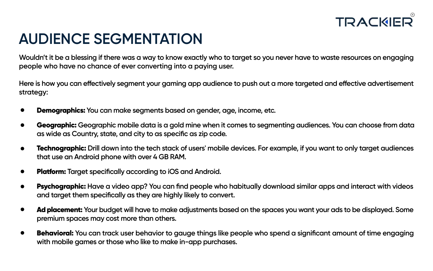

# **AUDIENCE SEGMENTATION**

**Wouldn't it be a blessing if there was a way to know exactly who to target so you never have to waste resources on engaging people who have no chance of ever converting into a paying user.**

**Here is how you can effectively segment your gaming app audience to push out a more targeted and effective advertisement strategy:**

- Demographics: **You can make segments based on gender, age, income, etc.**
- Geographic: **Geographic mobile data is a gold mine when it comes to segmenting audiences. You can choose from data**  $\bullet$ **as wide as Country, state, and city to as specific as zip code.**
- Technographic: **Drill down into the tech stack of users' mobile devices. For example, if you want to only target audiences**  $\bullet$ **that use an Android phone with over 4 GB RAM.**
- Platform: **Target specifically according to iOS and Android.**
- Psychographic: **Have a video app? You can find people who habitually download similar apps and interact with videos**  $\bullet$ **and target them specifically as they are highly likely to convert.**
- Ad placement: **Your budget will have to make adjustments based on the spaces you want your ads to be displayed. Some premium spaces may cost more than others.**
- Behavioral: **You can track user behavior to gauge things like people who spend a significant amount of time engaging with mobile games or those who like to make in-app purchases.**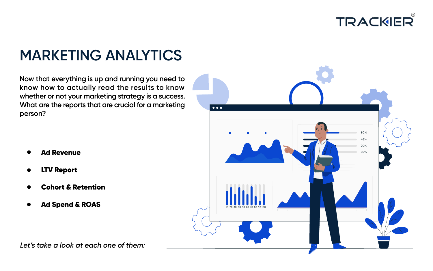

# **MARKETING ANALYTICS**

**Now that everything is up and running you need to know how to actually read the results to know whether or not your marketing strategy is a success. What are the reports that are crucial for a marketing person?**

- Ad Revenue
- LTV Report
- Cohort & Retention
- Ad Spend & ROAS



*Let's take a look at each one of them:*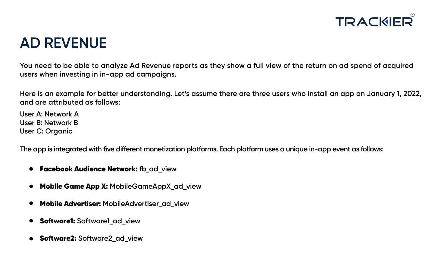

### **AD REVENUE**

**You need to be able to analyze Ad Revenue reports as they show a full view of the return on ad spend of acquired users when investing in in-app ad campaigns.**

**Here is an example for better understanding. Let's assume there are three users who install an app on January 1, 2022, and are attributed as follows:**

**User A: Network A User B: Network B User C: Organic**

**The app is integrated with five different monetization platforms. Each platform uses a unique in-app event as follows:**

- Facebook Audience Network: **fb\_ad\_view**
- Mobile Game App X: **MobileGameAppX\_ad\_view**
- Mobile Advertiser: **MobileAdvertiser\_ad\_view**
- Software1: **Software1\_ad\_view**
- Software2: **Software2\_ad\_view**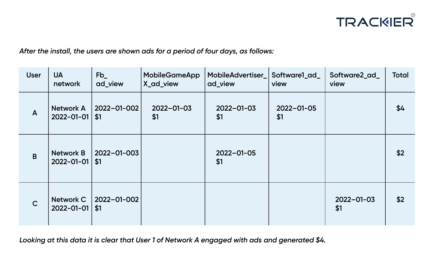

*After the install, the users are shown ads for a period of four days, as follows:*

| <b>User</b>  | <b>UA</b><br>network                     | $Fb_$<br>ad_view   | <b>MobileGameApp</b><br>X_ad_view | MobileAdvertiser<br>ad_view | Software1_ad_<br>view   | Software2_ad_<br>view   | <b>Total</b> |
|--------------|------------------------------------------|--------------------|-----------------------------------|-----------------------------|-------------------------|-------------------------|--------------|
| $\mathsf{A}$ | <b>Network A</b><br>$2022 - 01 - 01$     | 2022-01-002<br>\$1 | $2022 - 01 - 03$<br>\$1           | $2022 - 01 - 03$<br>\$1     | $2022 - 01 - 05$<br>\$1 |                         | \$4          |
| B            | <b>Network B</b><br>$2022 - 01 - 01$     | 2022-01-003<br>\$1 |                                   | $2022 - 01 - 05$<br>\$1     |                         |                         | \$2          |
| $\mathsf{C}$ | <b>Network C</b><br>$2022 - 01 - 01$ \$1 | 2022-01-002        |                                   |                             |                         | $2022 - 01 - 03$<br>\$1 | \$2          |

*Looking at this data it is clear that User 1 of Network A engaged with ads and generated \$4.*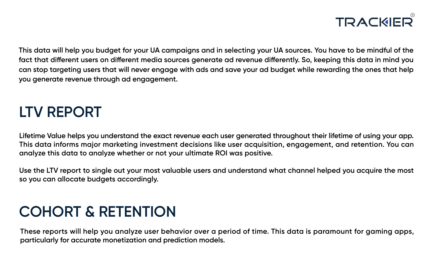

**This data will help you budget for your UA campaigns and in selecting your UA sources. You have to be mindful of the fact that different users on different media sources generate ad revenue differently. So, keeping this data in mind you can stop targeting users that will never engage with ads and save your ad budget while rewarding the ones that help you generate revenue through ad engagement.**

## **LTV REPORT**

**Lifetime Value helps you understand the exact revenue each user generated throughout their lifetime of using your app. This data informs major marketing investment decisions like user acquisition, engagement, and retention. You can analyze this data to analyze whether or not your ultimate ROI was positive.**

**Use the LTV report to single out your most valuable users and understand what channel helped you acquire the most so you can allocate budgets accordingly.**

# **COHORT & RETENTION**

**These reports will help you analyze user behavior over a period of time. This data is paramount for gaming apps, particularly for accurate monetization and prediction models.**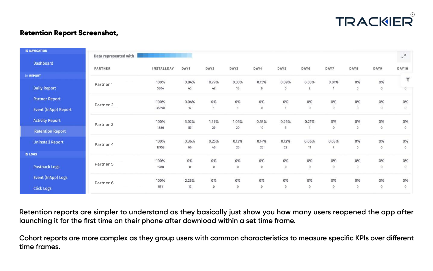

### Retention Report Screenshot,

| <b>II NAVIGATION</b>      | Data represented with | the company of the company of the company of the company of the company of the company of |                 |             |                  |                  |                |                         |                         |               |                |                         |
|---------------------------|-----------------------|-------------------------------------------------------------------------------------------|-----------------|-------------|------------------|------------------|----------------|-------------------------|-------------------------|---------------|----------------|-------------------------|
| Dashboard                 |                       |                                                                                           |                 |             |                  |                  |                |                         |                         |               |                | $\kappa$                |
|                           | PARTNER               | INSTALLDAY                                                                                | DAY1            | DAY2        | DAY3             | DAY4             | DAY5           | DAY6                    | DAY7                    | DAY8          | DAY9           | DAY10                   |
| <b>E REPORT</b>           |                       |                                                                                           |                 |             |                  |                  |                |                         |                         |               |                | т                       |
| <b>Daily Report</b>       | Partner 1             | 100%<br>5304                                                                              | 0.84%<br>45     | 0.79%<br>42 | 0.33%<br>18      | 0.15%<br>8       | 0.09%<br>5     | 0.03%<br>$\overline{2}$ | 0.01%<br>3              | 0%<br>$\circ$ | 0%<br>0        | $\alpha$                |
| <b>Partner Report</b>     | Partner <sub>2</sub>  | 100%                                                                                      | 0.04%           | 0%          | 0%               | 0%               | 0%             | 0%                      | 0%                      | 0%            | 0%             | 0%                      |
| Event (InApp) Report      |                       | 36890                                                                                     | 17 <sub>2</sub> | H.          | $\mathbf{1}$     | $\overline{0}$   | $\mathbf{1}$   | $\overline{O}$          | $\overline{0}$          | $\circ$       | $\circ$        | $\sigma$                |
| <b>Activity Report</b>    | Partner <sub>3</sub>  | 100%                                                                                      | 3.02%           | 1.59%       | 1.06%            | 0.53%            | 0.26%          | 0.21%                   | 0%                      | $0\%$         | 0%             | 0%                      |
| <b>Retention Report</b>   |                       | 1886                                                                                      | 57              | 29          | 20               | 10               | $\overline{5}$ | $\mathcal{L}_k$         | $\Omega$                | $\circ$       | 0              | $\mathbf{O}$            |
| <b>Uninstall Report</b>   | Partner <sub>4</sub>  | 100%<br>17953                                                                             | 0.36%<br>66     | 0.25%<br>46 | 0.13%<br>25      | 0.14%<br>25      | 0.12%<br>22    | 0.06%<br>11             | 0.03%<br>$\overline{7}$ | 0%<br>0       | 0%<br>$\Omega$ | 0%<br>$\mathbf{0}$      |
| <b>BLOGS</b>              |                       |                                                                                           |                 |             |                  |                  |                |                         |                         |               |                |                         |
|                           | Partner 5             | 100%                                                                                      | 0%              | 0%          | 0%               | 0%               | 0%             | 0%                      | 0%                      | 0%            | 0%             | 0%                      |
| Postback Logs             |                       | 1988                                                                                      | $\,0\,$         | $\theta$    | $\bf 0$          | 0                | $\sigma$       | $\mathbb O$             | $\bf 0$                 | $\circ$       | 0              | $\mathbf 0$             |
| <b>Event (InApp) Logs</b> | Partner <sub>6</sub>  | 100%                                                                                      | 2.25%           | 0%          | 0%               | 0%               | 0%             | 0%                      | 0%                      | 0%            | 0%             | 0%                      |
| <b>Click Logs</b>         |                       | 531                                                                                       | 12              | $\theta$    | $\boldsymbol{0}$ | $\boldsymbol{0}$ | $\circ$        | $\,$ 0                  | $\mathbf{0}$            | $\mathsf{O}$  | $\sigma$       | $\overline{\mathbf{0}}$ |

**Retention reports are simpler to understand as they basically just show you how many users reopened the app after launching it for the first time on their phone after download within a set time frame.**

**Cohort reports are more complex as they group users with common characteristics to measure specific KPIs over different time frames.**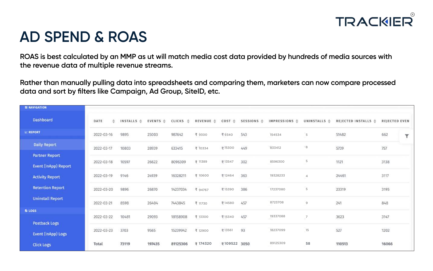

### **AD SPEND & ROAS**

**ROAS is best calculated by an MMP as ut will match media cost data provided by hundreds of media sources with the revenue data of multiple revenue streams.**

**Rather than manually pulling data into spreadsheets and comparing them, marketers can now compare processed data and sort by filters like Campaign, Ad Group, SiteID, etc.**

| <b><i>SE NAVIGATION</i></b> |            |            |                     |                       |                      |                   |                       |                          |                         |                                |                      |   |
|-----------------------------|------------|------------|---------------------|-----------------------|----------------------|-------------------|-----------------------|--------------------------|-------------------------|--------------------------------|----------------------|---|
| Dashboard                   | DATE<br>÷  | INSTALLS ≑ | EVENTS $\triangleq$ | $CLICKS$ $\triangleq$ | REVENUE <sup>4</sup> | $COST \triangleq$ | SESSIONS $\triangleq$ | IMPRESSIONS $\triangleq$ | UNINSTALLS $\triangleq$ | REJECTED INSTALLS $\triangleq$ | <b>REJECTED EVEN</b> |   |
| <b>E REPORT</b>             | 2022-03-16 | 9895       | 25003               | 987642                | ₹ 9300               | ₹9340             | 543                   | 154534                   | $\overline{5}$          | 51482                          | 662                  | ۳ |
| Daily Report                | 2022-03-17 | 10803      | 28939               | 633415                | ₹ 10334              | ₹15300            | 449                   | 833412                   | $^{\circ}$ 8            | 5739                           | 757                  |   |
| <b>Partner Report</b>       |            |            |                     |                       |                      |                   |                       |                          |                         |                                |                      |   |
| Event (InApp) Report        | 2022-03-18 | 10597      | 26622               | 8096309               | ₹ 11389              | ₹13547            | 302                   | 8596300                  | 5                       | 1121                           | 3138                 |   |
| <b>Activity Report</b>      | 2022-03-19 | 9146       | 24939               | 16328211              | ₹ 10600              | 쿡 12464           | 363                   | 19328233                 | $\overline{A}$          | 24461                          | 3117                 |   |
| <b>Retention Report</b>     | 2022-03-20 | 9896       | 26870               | 14237034              | ₹ 94767              | ₹15390            | 386                   | 17237080                 | $\overline{5}$          | 23319                          | 3195                 |   |
| <b>Uninstall Report</b>     | 2022-03-21 | 8598       | 26404               | 7443845               | ₹ 11730              | ₹14580            | 457                   | 8723708                  | $\overline{9}$          | 241                            | 848                  |   |
| <b>BLOGS</b>                |            |            |                     |                       |                      |                   |                       |                          |                         |                                |                      |   |
| <b>Postback Logs</b>        | 2022-03-22 | 10481      | 29093               | 18158908              | ₹ 13300              | ₹15340            | 457                   | 19337088                 | $-7$                    | 3623                           | 3147                 |   |
| Event (InApp) Logs          | 2022-03-23 | 3703       | 9565                | 15239942              | ₹ 12900              | ₹13561            | 93                    | 18237099                 | 15                      | 527                            | 1202                 |   |
| <b>Click Logs</b>           | Total      | 73119      | 197435              | 81125306              | ₹ 174320             | ₹109522 3050      |                       | 89125309                 | 58                      | 110513                         | 16066                |   |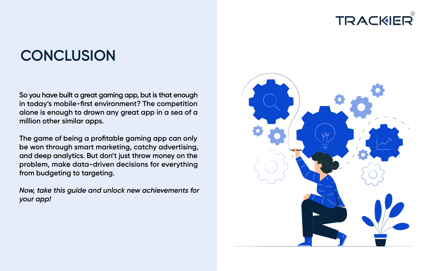# **CONCLUSION**

**So you have built a great gaming app, but is that enough in today's mobile-first environment? The competition alone is enough to drown any great app in a sea of a million other similar apps.**

**The game of being a profitable gaming app can only be won through smart marketing, catchy advertising, and deep analytics. But don't just throw money on the problem, make data-driven decisions for everything from budgeting to targeting.**

*Now, take this guide and unlock new achievements for your app!*